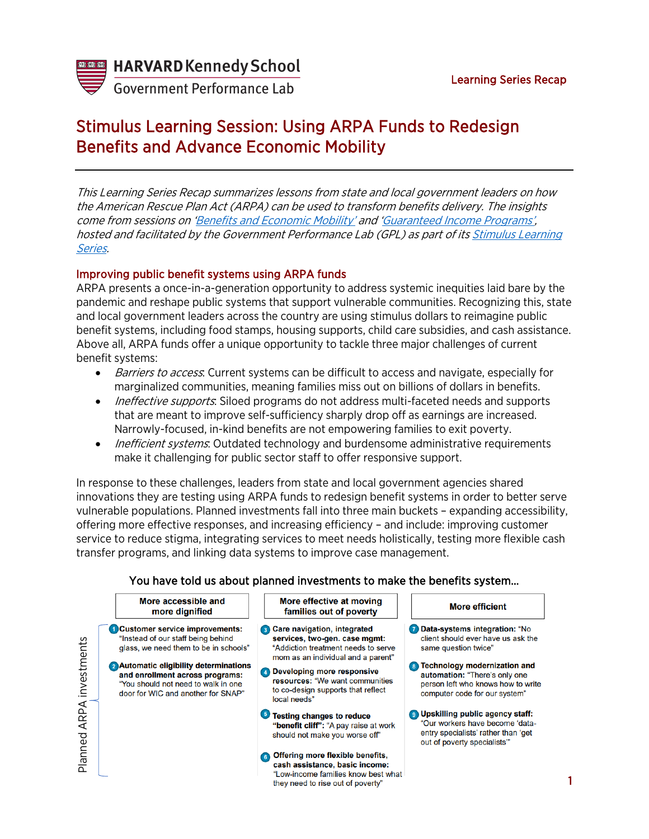

**Government Performance Lab** 

# Stimulus Learning Session: Using ARPA Funds to Redesign Benefits and Advance Economic Mobility

This Learning Series Recap summarizes lessons from state and local government leaders on how the American Rescue Plan Act (ARPA) can be used to transform benefits delivery. The insights come from sessions on '[Benefits and Economic Mobility'](https://harvard.zoom.us/rec/play/5CF-txxsc1zjvhlnOwZmLZNwDn-Frt_pCnGDBzEOutgA80MCl4vEkzb1Jz0lvyuCp48M3h6ez5YvRpw.KfRJ_8Y_Q7RLgro_?continueMode=true&_x_zm_rtaid=WquNw0tNQH2GNt10UZ_C2g.1627885374739.99f1a9394999f1cbc0e4beca420ba718&_x_zm_rhtaid=325) and '[Guaranteed Income Programs',](https://harvard.zoom.us/rec/play/vqRTUEkHxXIHx3MstzQjqRlV72s6CtByy-7jguzM9Y4DZU5toDQyfE5vEfHyhyui6VporfVCT3jJk0b4.txyPEATX1IN_hbRy?startTime=1627585199000&_x_zm_rtaid=j1y89z_WRMWihoNqoU8zWQ.1627616703665.5aaf2e3808d9891d5c730b98bc0937cf&_x_zm_rhtaid=272) hosted and facilitated by the Government Performance Lab (GPL) as part of its [Stimulus Learning](https://govlab.hks.harvard.edu/stimulus-learning-series)  [Series](https://govlab.hks.harvard.edu/stimulus-learning-series).

## Improving public benefit systems using ARPA funds

ARPA presents a once-in-a-generation opportunity to address systemic inequities laid bare by the pandemic and reshape public systems that support vulnerable communities. Recognizing this, state and local government leaders across the country are using stimulus dollars to reimagine public benefit systems, including food stamps, housing supports, child care subsidies, and cash assistance. Above all, ARPA funds offer a unique opportunity to tackle three major challenges of current benefit systems:

- Barriers to access. Current systems can be difficult to access and navigate, especially for marginalized communities, meaning families miss out on billions of dollars in benefits.
- *Ineffective supports*: Siloed programs do not address multi-faceted needs and supports that are meant to improve self-sufficiency sharply drop off as earnings are increased. Narrowly-focused, in-kind benefits are not empowering families to exit poverty.
- *Inefficient systems*: Outdated technology and burdensome administrative requirements make it challenging for public sector staff to offer responsive support.

In response to these challenges, leaders from state and local government agencies shared innovations they are testing using ARPA funds to redesign benefit systems in order to better serve vulnerable populations. Planned investments fall into three main buckets – expanding accessibility, offering more effective responses, and increasing efficiency – and include: improving customer service to reduce stigma, integrating services to meet needs holistically, testing more flexible cash transfer programs, and linking data systems to improve case management.

## You have told us about planned investments to make the benefits system…



they need to rise out of poverty"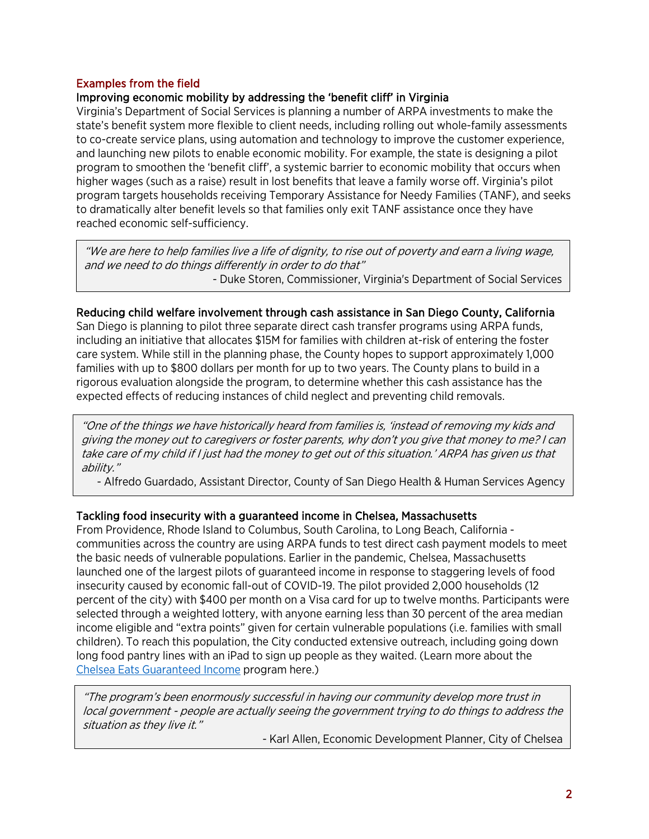### Examples from the field

#### Improving economic mobility by addressing the 'benefit cliff' in Virginia

Virginia's Department of Social Services is planning a number of ARPA investments to make the state's benefit system more flexible to client needs, including rolling out whole-family assessments to co-create service plans, using automation and technology to improve the customer experience, and launching new pilots to enable economic mobility. For example, the state is designing a pilot program to smoothen the 'benefit cliff', a systemic barrier to economic mobility that occurs when higher wages (such as a raise) result in lost benefits that leave a family worse off. Virginia's pilot program targets households receiving Temporary Assistance for Needy Families (TANF), and seeks to dramatically alter benefit levels so that families only exit TANF assistance once they have reached economic self-sufficiency.

"We are here to help families live a life of dignity, to rise out of poverty and earn a living wage, and we need to do things differently in order to do that" - Duke Storen, Commissioner, Virginia's Department of Social Services

#### Reducing child welfare involvement through cash assistance in San Diego County, California

San Diego is planning to pilot three separate direct cash transfer programs using ARPA funds, including an initiative that allocates \$15M for families with children at-risk of entering the foster care system. While still in the planning phase, the County hopes to support approximately 1,000 families with up to \$800 dollars per month for up to two years. The County plans to build in a rigorous evaluation alongside the program, to determine whether this cash assistance has the expected effects of reducing instances of child neglect and preventing child removals.

"One of the things we have historically heard from families is, 'instead of removing my kids and giving the money out to caregivers or foster parents, why don't you give that money to me? I can take care of my child if I just had the money to get out of this situation.' ARPA has given us that ability."

- Alfredo Guardado, Assistant Director, County of San Diego Health & Human Services Agency

#### Tackling food insecurity with a guaranteed income in Chelsea, Massachusetts

From Providence, Rhode Island to Columbus, South Carolina, to Long Beach, California communities across the country are using ARPA funds to test direct cash payment models to meet the basic needs of vulnerable populations. Earlier in the pandemic, Chelsea, Massachusetts launched one of the largest pilots of guaranteed income in response to staggering levels of food insecurity caused by economic fall-out of COVID-19. The pilot provided 2,000 households (12 percent of the city) with \$400 per month on a Visa card for up to twelve months. Participants were selected through a weighted lottery, with anyone earning less than 30 percent of the area median income eligible and "extra points" given for certain vulnerable populations (i.e. families with small children). To reach this population, the City conducted extensive outreach, including going down long food pantry lines with an iPad to sign up people as they waited. (Learn more about the [Chelsea Eats Guaranteed Income](https://www.hks.harvard.edu/centers/taubman/programs-research/rappaport/research-and-publications/special-collections/covid-19-relief-chelsea-ma) program here.)

"The program's been enormously successful in having our community develop more trust in local government - people are actually seeing the government trying to do things to address the situation as they live it."

- Karl Allen, Economic Development Planner, City of Chelsea